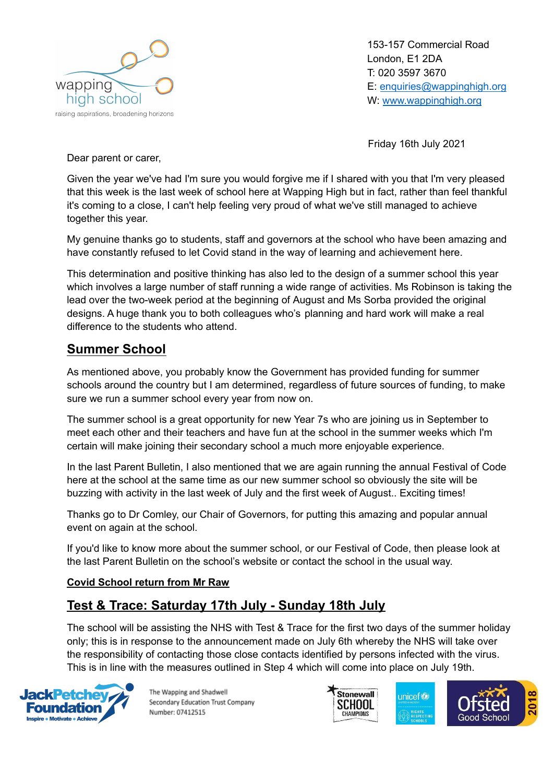

153-157 Commercial Road London, E1 2DA T: 020 3597 3670 E: [enquiries@wappinghigh.org](mailto:enquiries@wappinghigh.org) W: [www.wappinghigh.org](http://www.wappinghigh.org)

Friday 16th July 2021

Dear parent or carer,

Given the year we've had I'm sure you would forgive me if I shared with you that I'm very pleased that this week is the last week of school here at Wapping High but in fact, rather than feel thankful it's coming to a close, I can't help feeling very proud of what we've still managed to achieve together this year.

My genuine thanks go to students, staff and governors at the school who have been amazing and have constantly refused to let Covid stand in the way of learning and achievement here.

This determination and positive thinking has also led to the design of a summer school this year which involves a large number of staff running a wide range of activities. Ms Robinson is taking the lead over the two-week period at the beginning of August and Ms Sorba provided the original designs. A huge thank you to both colleagues who's planning and hard work will make a real difference to the students who attend.

## **Summer School**

As mentioned above, you probably know the Government has provided funding for summer schools around the country but I am determined, regardless of future sources of funding, to make sure we run a summer school every year from now on.

The summer school is a great opportunity for new Year 7s who are joining us in September to meet each other and their teachers and have fun at the school in the summer weeks which I'm certain will make joining their secondary school a much more enjoyable experience.

In the last Parent Bulletin, I also mentioned that we are again running the annual Festival of Code here at the school at the same time as our new summer school so obviously the site will be buzzing with activity in the last week of July and the first week of August.. Exciting times!

Thanks go to Dr Comley, our Chair of Governors, for putting this amazing and popular annual event on again at the school.

If you'd like to know more about the summer school, or our Festival of Code, then please look at the last Parent Bulletin on the school's website or contact the school in the usual way.

#### **Covid School return from Mr Raw**

## **Test & Trace: Saturday 17th July - Sunday 18th July**

The school will be assisting the NHS with Test & Trace for the first two days of the summer holiday only; this is in response to the announcement made on July 6th whereby the NHS will take over the responsibility of contacting those close contacts identified by persons infected with the virus. This is in line with the measures outlined in Step 4 which will come into place on July 19th.



The Wapping and Shadwell Secondary Education Trust Company Number: 07412515

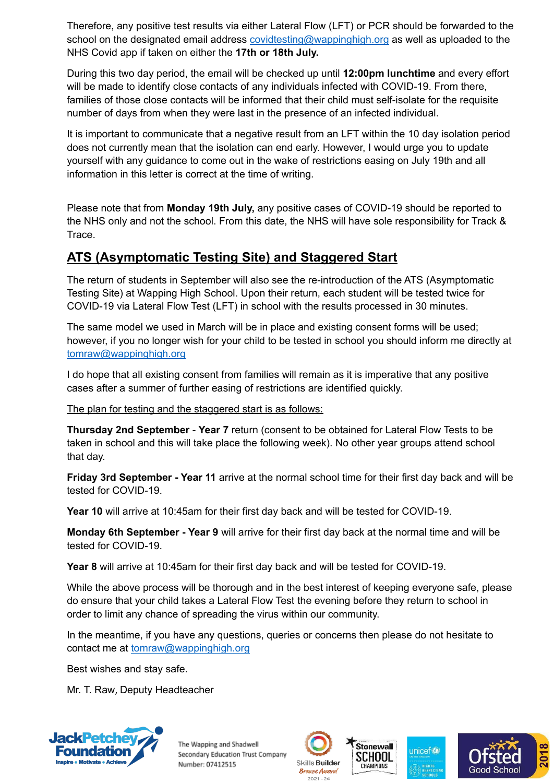Therefore, any positive test results via either Lateral Flow (LFT) or PCR should be forwarded to the school on the designated email address [covidtesting@wappinghigh.org](mailto:covidtesting@wappinghigh.org) as well as uploaded to the NHS Covid app if taken on either the **17th or 18th July.**

During this two day period, the email will be checked up until **12:00pm lunchtime** and every effort will be made to identify close contacts of any individuals infected with COVID-19. From there, families of those close contacts will be informed that their child must self-isolate for the requisite number of days from when they were last in the presence of an infected individual.

It is important to communicate that a negative result from an LFT within the 10 day isolation period does not currently mean that the isolation can end early. However, I would urge you to update yourself with any guidance to come out in the wake of restrictions easing on July 19th and all information in this letter is correct at the time of writing.

Please note that from **Monday 19th July,** any positive cases of COVID-19 should be reported to the NHS only and not the school. From this date, the NHS will have sole responsibility for Track & Trace.

# **ATS (Asymptomatic Testing Site) and Staggered Start**

The return of students in September will also see the re-introduction of the ATS (Asymptomatic Testing Site) at Wapping High School. Upon their return, each student will be tested twice for COVID-19 via Lateral Flow Test (LFT) in school with the results processed in 30 minutes.

The same model we used in March will be in place and existing consent forms will be used; however, if you no longer wish for your child to be tested in school you should inform me directly at [tomraw@wappinghigh.org](mailto:tomraw@wappinghigh.org)

I do hope that all existing consent from families will remain as it is imperative that any positive cases after a summer of further easing of restrictions are identified quickly.

The plan for testing and the staggered start is as follows:

**Thursday 2nd September** - **Year 7** return (consent to be obtained for Lateral Flow Tests to be taken in school and this will take place the following week). No other year groups attend school that day.

**Friday 3rd September - Year 11** arrive at the normal school time for their first day back and will be tested for COVID-19.

**Year 10** will arrive at 10:45am for their first day back and will be tested for COVID-19.

**Monday 6th September - Year 9** will arrive for their first day back at the normal time and will be tested for COVID-19.

**Year 8** will arrive at 10:45am for their first day back and will be tested for COVID-19.

While the above process will be thorough and in the best interest of keeping everyone safe, please do ensure that your child takes a Lateral Flow Test the evening before they return to school in order to limit any chance of spreading the virus within our community.

In the meantime, if you have any questions, queries or concerns then please do not hesitate to contact me at [tomraw@wappinghigh.org](mailto:tomraw@wappinghigh.org)

Best wishes and stay safe.

Mr. T. Raw, Deputy Headteacher



The Wapping and Shadwell Secondary Education Trust Company Number: 07412515







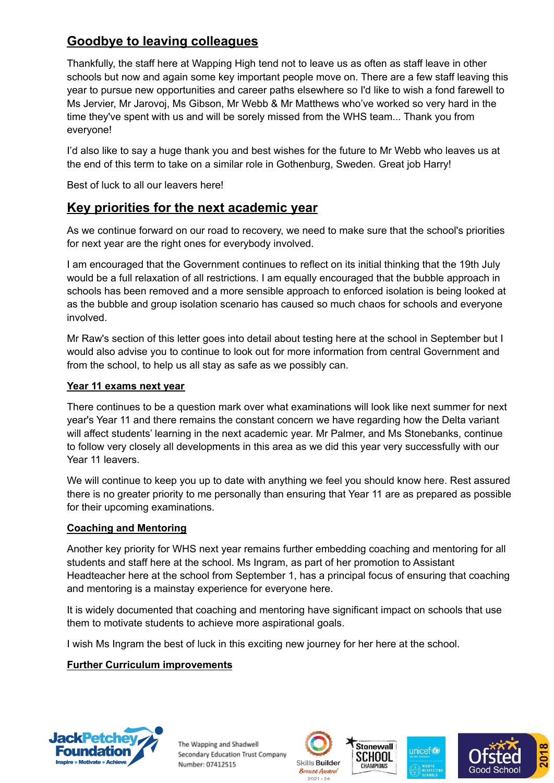# **Goodbye to leaving colleagues**

Thankfully, the staff here at Wapping High tend not to leave us as often as staff leave in other schools but now and again some key important people move on. There are a few staff leaving this year to pursue new opportunities and career paths elsewhere so I'd like to wish a fond farewell to Ms Jervier, Mr Jarovoj, Ms Gibson, Mr Webb & Mr Matthews who've worked so very hard in the time they've spent with us and will be sorely missed from the WHS team... Thank you from everyone!

I'd also like to say a huge thank you and best wishes for the future to Mr Webb who leaves us at the end of this term to take on a similar role in Gothenburg, Sweden. Great job Harry!

Best of luck to all our leavers here!

## **Key priorities for the next academic year**

As we continue forward on our road to recovery, we need to make sure that the school's priorities for next year are the right ones for everybody involved.

I am encouraged that the Government continues to reflect on its initial thinking that the 19th July would be a full relaxation of all restrictions. I am equally encouraged that the bubble approach in schools has been removed and a more sensible approach to enforced isolation is being looked at as the bubble and group isolation scenario has caused so much chaos for schools and everyone involved.

Mr Raw's section of this letter goes into detail about testing here at the school in September but I would also advise you to continue to look out for more information from central Government and from the school, to help us all stay as safe as we possibly can.

#### **Year 11 exams next year**

There continues to be a question mark over what examinations will look like next summer for next year's Year 11 and there remains the constant concern we have regarding how the Delta variant will affect students' learning in the next academic year. Mr Palmer, and Ms Stonebanks, continue to follow very closely all developments in this area as we did this year very successfully with our Year 11 leavers.

We will continue to keep you up to date with anything we feel you should know here. Rest assured there is no greater priority to me personally than ensuring that Year 11 are as prepared as possible for their upcoming examinations.

#### **Coaching and Mentoring**

Another key priority for WHS next year remains further embedding coaching and mentoring for all students and staff here at the school. Ms Ingram, as part of her promotion to Assistant Headteacher here at the school from September 1, has a principal focus of ensuring that coaching and mentoring is a mainstay experience for everyone here.

It is widely documented that coaching and mentoring have significant impact on schools that use them to motivate students to achieve more aspirational goals.

I wish Ms Ingram the best of luck in this exciting new journey for her here at the school.

#### **Further Curriculum improvements**



The Wapping and Shadwell Secondary Education Trust Company Number: 07412515







2018